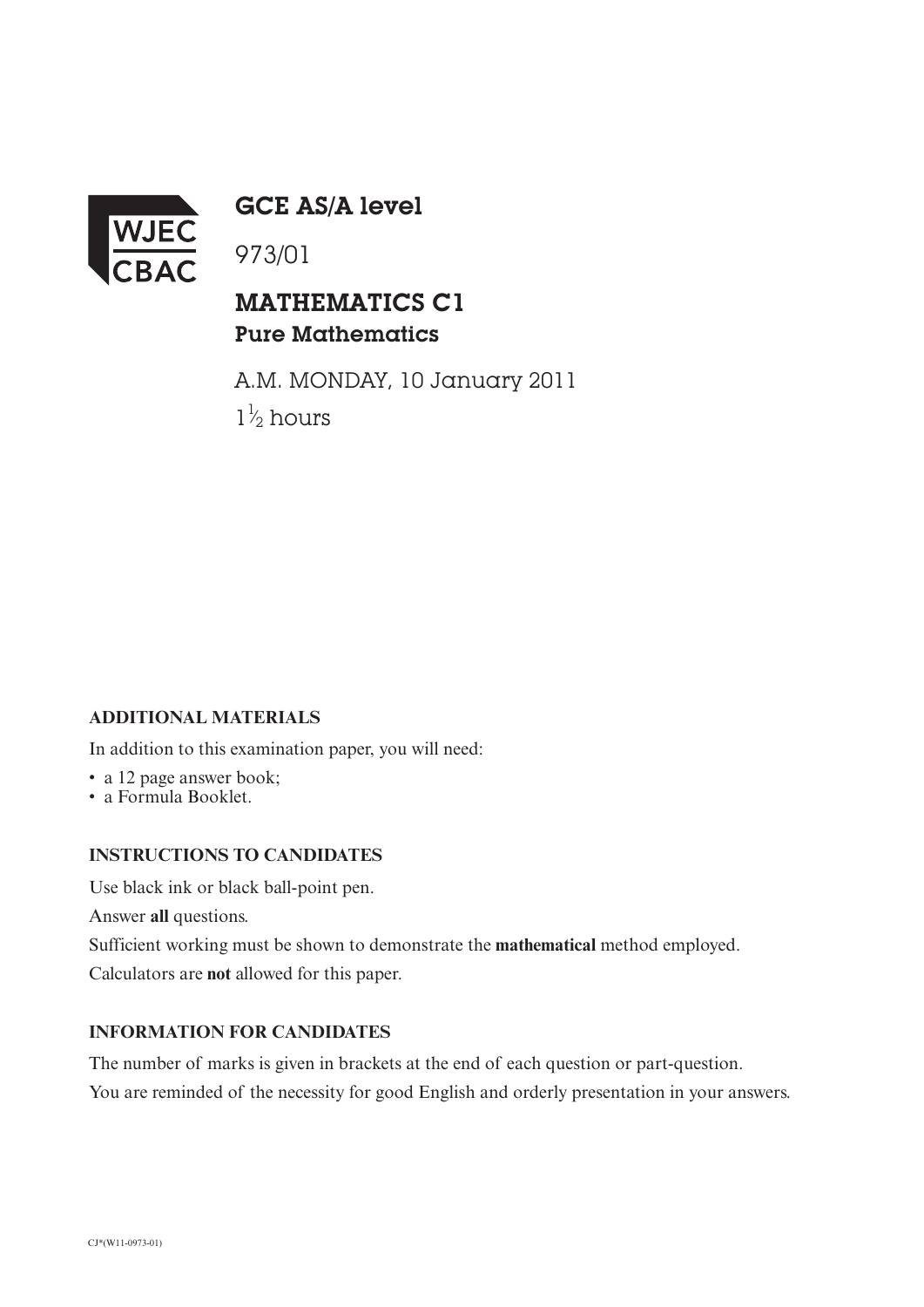

GCE AS/A level

## MATHEMATICS C1 Pure Mathematics

A.M. MONDAY, 10 January 2011  $1\frac{1}{2}$  hours ⁄

### **ADDITIONAL MATERIALS**

In addition to this examination paper, you will need:

• a 12 page answer book;

• a Formula Booklet.

#### **INSTRUCTIONS TO CANDIDATES**

Use black ink or black ball-point pen.

Answer **all** questions.

Sufficient working must be shown to demonstrate the **mathematical** method employed.

Calculators are **not** allowed for this paper.

#### **INFORMATION FOR CANDIDATES**

The number of marks is given in brackets at the end of each question or part-question. You are reminded of the necessity for good English and orderly presentation in your answers.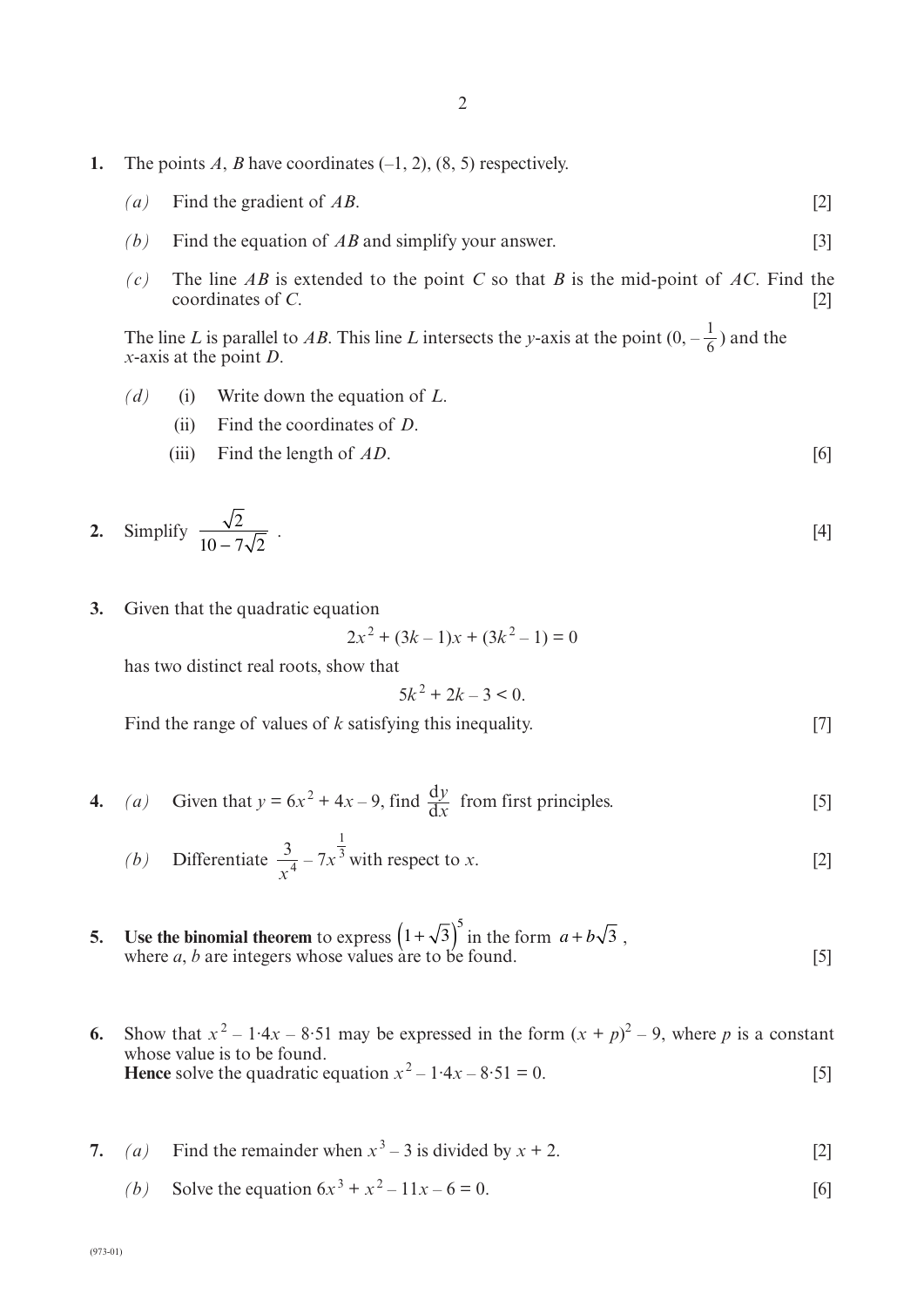- **1.** The points *A*, *B* have coordinates  $(-1, 2)$ ,  $(8, 5)$  respectively.
	- *(a)* Find the gradient of *AB*. [2]
	- *(b)* Find the equation of *AB* and simplify your answer. [3]
	- *(c)* The line *AB* is extended to the point *C* so that *B* is the mid-point of *AC*. Find the coordinates of *C*.

The line *L* is parallel to AB. This line *L* intersects the *y*-axis at the point  $(0, -\frac{1}{6})$  and the *x*-axis at the point *D*. 6

- *(d)* (i) Write down the equation of *L*.
	- (ii) Find the coordinates of *D*.
	- (iii) Find the length of *AD*. [6]

2. Simplify 
$$
\frac{\sqrt{2}}{10 - 7\sqrt{2}}
$$
. [4]

**3.** Given that the quadratic equation

$$
2x^2 + (3k - 1)x + (3k^2 - 1) = 0
$$

has two distinct real roots, show that

$$
5k^2 + 2k - 3 < 0
$$

Find the range of values of *k* satisfying this inequality. [7]

**4.** *(a)* Given that  $y = 6x^2 + 4x - 9$ , find  $\frac{dy}{dx}$  from first principles. [5] d*x*

(b) Differentiate 
$$
\frac{3}{x^4} - 7x^{\frac{1}{3}}
$$
 with respect to x. [2]

- **5. Use the binomial theorem** to express  $(1+\sqrt{3})$  in the form  $a+b\sqrt{3}$ , where  $a, b$  are integers whose values are to be found.  $[5]$  $\left(1+\sqrt{3}\right)^5$  in the form  $a+b\sqrt{3}$
- **6.** Show that  $x^2 1.4x 8.51$  may be expressed in the form  $(x + p)^2 9$ , where *p* is a constant whose value is to be found. **Hence** solve the quadratic equation  $x^2 - 1.4x - 8.51 = 0$ . [5]
- **7.** *(a)* Find the remainder when  $x^3 3$  is divided by  $x + 2$ . [2]
	- (*b*) Solve the equation  $6x^3 + x^2 11x 6 = 0$ . [6]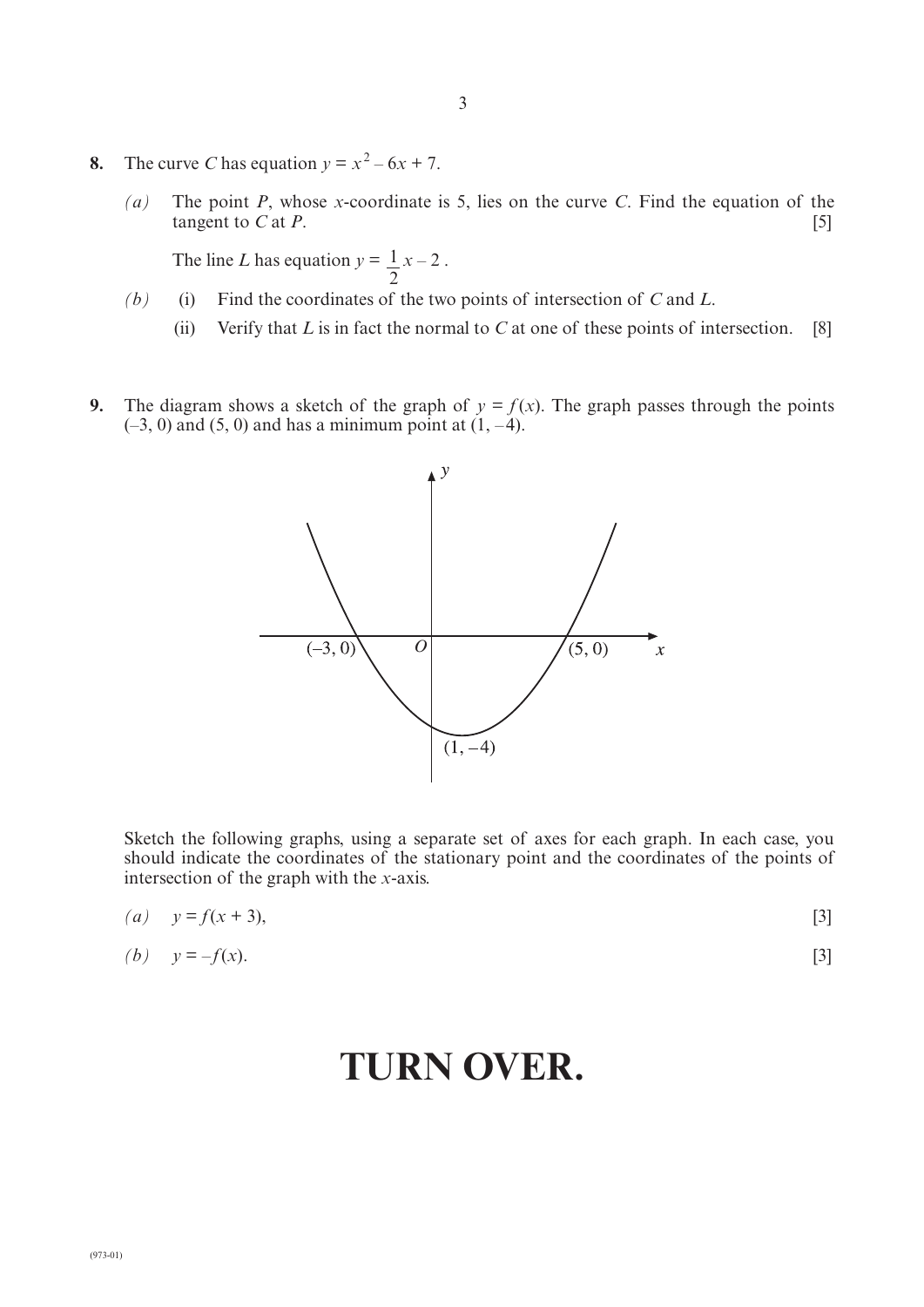- 8. The curve *C* has equation  $y = x^2 6x + 7$ .
	- *(a)* The point *P*, whose *x*-coordinate is 5, lies on the curve *C*. Find the equation of the tangent to  $C$  at  $P$ . [5]

The line *L* has equation  $y = \frac{1}{x} - 2$ . 2

- *(b)* (i) Find the coordinates of the two points of intersection of *C* and *L*.
	- (ii) Verify that  $L$  is in fact the normal to  $C$  at one of these points of intersection. [8]
- **9.** The diagram shows a sketch of the graph of  $y = f(x)$ . The graph passes through the points  $(-3, 0)$  and  $(5, 0)$  and has a minimum point at  $(1, -4)$ .



Sketch the following graphs, using a separate set of axes for each graph. In each case, you should indicate the coordinates of the stationary point and the coordinates of the points of intersection of the graph with the *x*-axis.

| (a) $y = f(x + 3)$ ,       |                   |
|----------------------------|-------------------|
| ( <i>b</i> ) $y = -f(x)$ . | $\lceil 3 \rceil$ |

# **TURN OVER.**